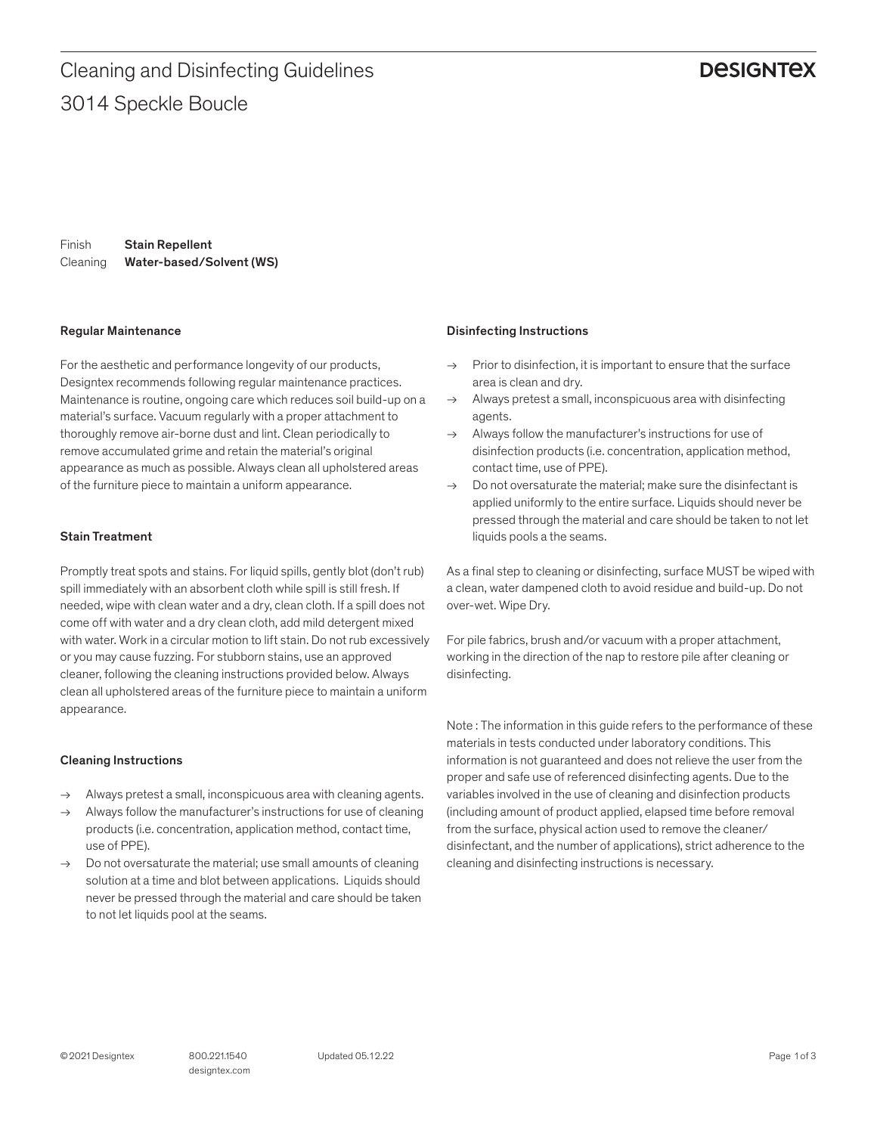3014 Speckle Boucle Cleaning and Disinfecting Guidelines

# **DESIGNTEX**

Finish Cleaning Stain Repellent Water-based/Solvent (WS)

#### Regular Maintenance

For the aesthetic and performance longevity of our products, Designtex recommends following regular maintenance practices. Maintenance is routine, ongoing care which reduces soil build-up on a material's surface. Vacuum regularly with a proper attachment to thoroughly remove air-borne dust and lint. Clean periodically to remove accumulated grime and retain the material's original appearance as much as possible. Always clean all upholstered areas of the furniture piece to maintain a uniform appearance.

#### Stain Treatment

Promptly treat spots and stains. For liquid spills, gently blot (don't rub) spill immediately with an absorbent cloth while spill is still fresh. If needed, wipe with clean water and a dry, clean cloth. If a spill does not come off with water and a dry clean cloth, add mild detergent mixed with water. Work in a circular motion to lift stain. Do not rub excessively or you may cause fuzzing. For stubborn stains, use an approved cleaner, following the cleaning instructions provided below. Always clean all upholstered areas of the furniture piece to maintain a uniform appearance.

## Cleaning Instructions

- → Always pretest a small, inconspicuous area with cleaning agents.
- Always follow the manufacturer's instructions for use of cleaning products (i.e. concentration, application method, contact time, use of PPE).
- $\rightarrow$  Do not oversaturate the material; use small amounts of cleaning solution at a time and blot between applications. Liquids should never be pressed through the material and care should be taken to not let liquids pool at the seams.

#### Disinfecting Instructions

- $\rightarrow$  Prior to disinfection, it is important to ensure that the surface area is clean and dry.
- $\rightarrow$  Always pretest a small, inconspicuous area with disinfecting agents.
- $\rightarrow$  Always follow the manufacturer's instructions for use of disinfection products (i.e. concentration, application method, contact time, use of PPE).
- $\rightarrow$  Do not oversaturate the material: make sure the disinfectant is applied uniformly to the entire surface. Liquids should never be pressed through the material and care should be taken to not let liquids pools a the seams.

As a final step to cleaning or disinfecting, surface MUST be wiped with a clean, water dampened cloth to avoid residue and build-up. Do not over-wet. Wipe Dry.

For pile fabrics, brush and/or vacuum with a proper attachment, working in the direction of the nap to restore pile after cleaning or disinfecting.

Note : The information in this guide refers to the performance of these materials in tests conducted under laboratory conditions. This information is not guaranteed and does not relieve the user from the proper and safe use of referenced disinfecting agents. Due to the variables involved in the use of cleaning and disinfection products (including amount of product applied, elapsed time before removal from the surface, physical action used to remove the cleaner/ disinfectant, and the number of applications), strict adherence to the cleaning and disinfecting instructions is necessary.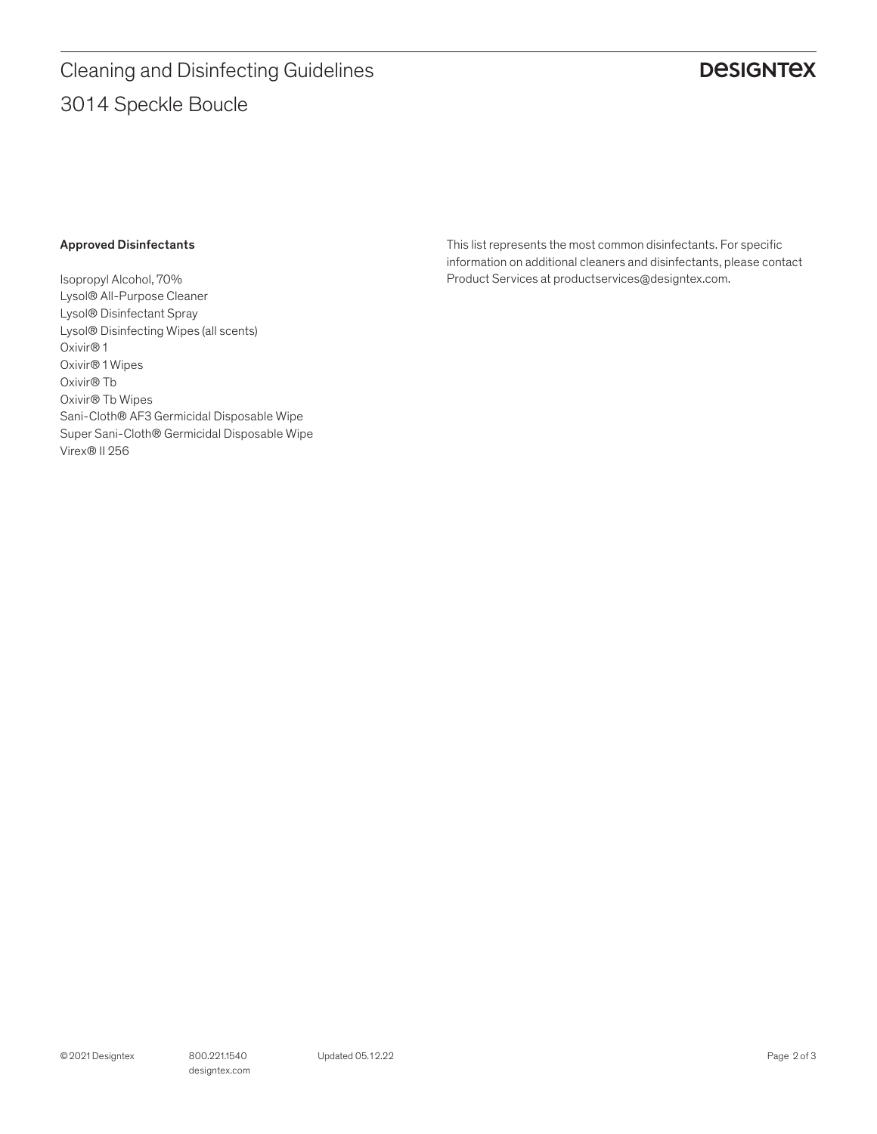# **DESIGNTEX**

# Approved Disinfectants

Isopropyl Alcohol, 70% Lysol® All-Purpose Cleaner Lysol® Disinfectant Spray Lysol® Disinfecting Wipes (all scents) Oxivir® 1 Oxivir® 1 Wipes Oxivir® Tb Oxivir® Tb Wipes Sani-Cloth® AF3 Germicidal Disposable Wipe Super Sani-Cloth® Germicidal Disposable Wipe Virex® II 256

This list represents the most common disinfectants. For specific information on additional cleaners and disinfectants, please contact Product Services at productservices@designtex.com.